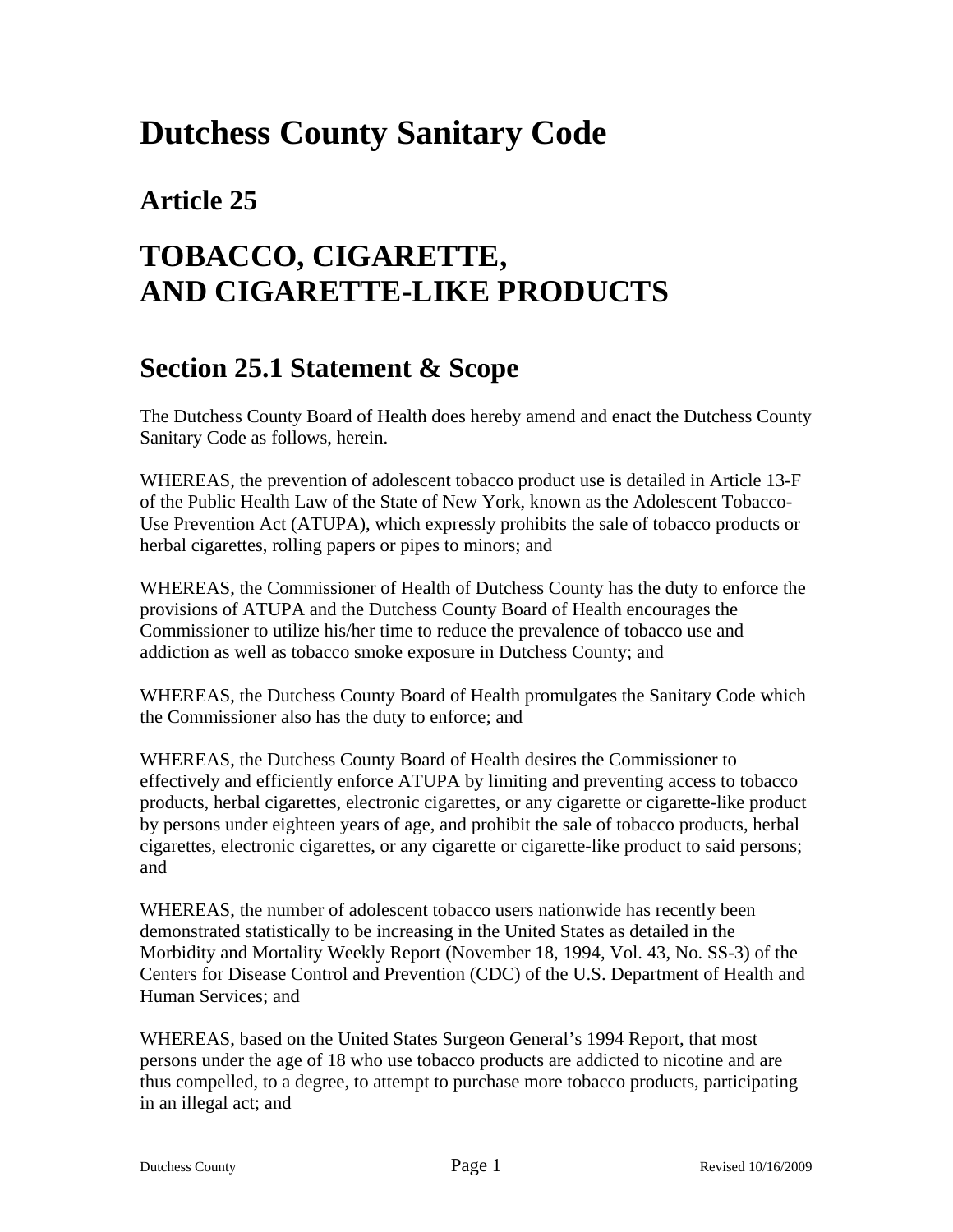# **Dutchess County Sanitary Code**

### **Article 25**

# **TOBACCO, CIGARETTE, AND CIGARETTE-LIKE PRODUCTS**

#### **Section 25.1 Statement & Scope**

The Dutchess County Board of Health does hereby amend and enact the Dutchess County Sanitary Code as follows, herein.

WHEREAS, the prevention of adolescent tobacco product use is detailed in Article 13-F of the Public Health Law of the State of New York, known as the Adolescent Tobacco-Use Prevention Act (ATUPA), which expressly prohibits the sale of tobacco products or herbal cigarettes, rolling papers or pipes to minors; and

WHEREAS, the Commissioner of Health of Dutchess County has the duty to enforce the provisions of ATUPA and the Dutchess County Board of Health encourages the Commissioner to utilize his/her time to reduce the prevalence of tobacco use and addiction as well as tobacco smoke exposure in Dutchess County; and

WHEREAS, the Dutchess County Board of Health promulgates the Sanitary Code which the Commissioner also has the duty to enforce; and

WHEREAS, the Dutchess County Board of Health desires the Commissioner to effectively and efficiently enforce ATUPA by limiting and preventing access to tobacco products, herbal cigarettes, electronic cigarettes, or any cigarette or cigarette-like product by persons under eighteen years of age, and prohibit the sale of tobacco products, herbal cigarettes, electronic cigarettes, or any cigarette or cigarette-like product to said persons; and

WHEREAS, the number of adolescent tobacco users nationwide has recently been demonstrated statistically to be increasing in the United States as detailed in the Morbidity and Mortality Weekly Report (November 18, 1994, Vol. 43, No. SS-3) of the Centers for Disease Control and Prevention (CDC) of the U.S. Department of Health and Human Services; and

WHEREAS, based on the United States Surgeon General's 1994 Report, that most persons under the age of 18 who use tobacco products are addicted to nicotine and are thus compelled, to a degree, to attempt to purchase more tobacco products, participating in an illegal act; and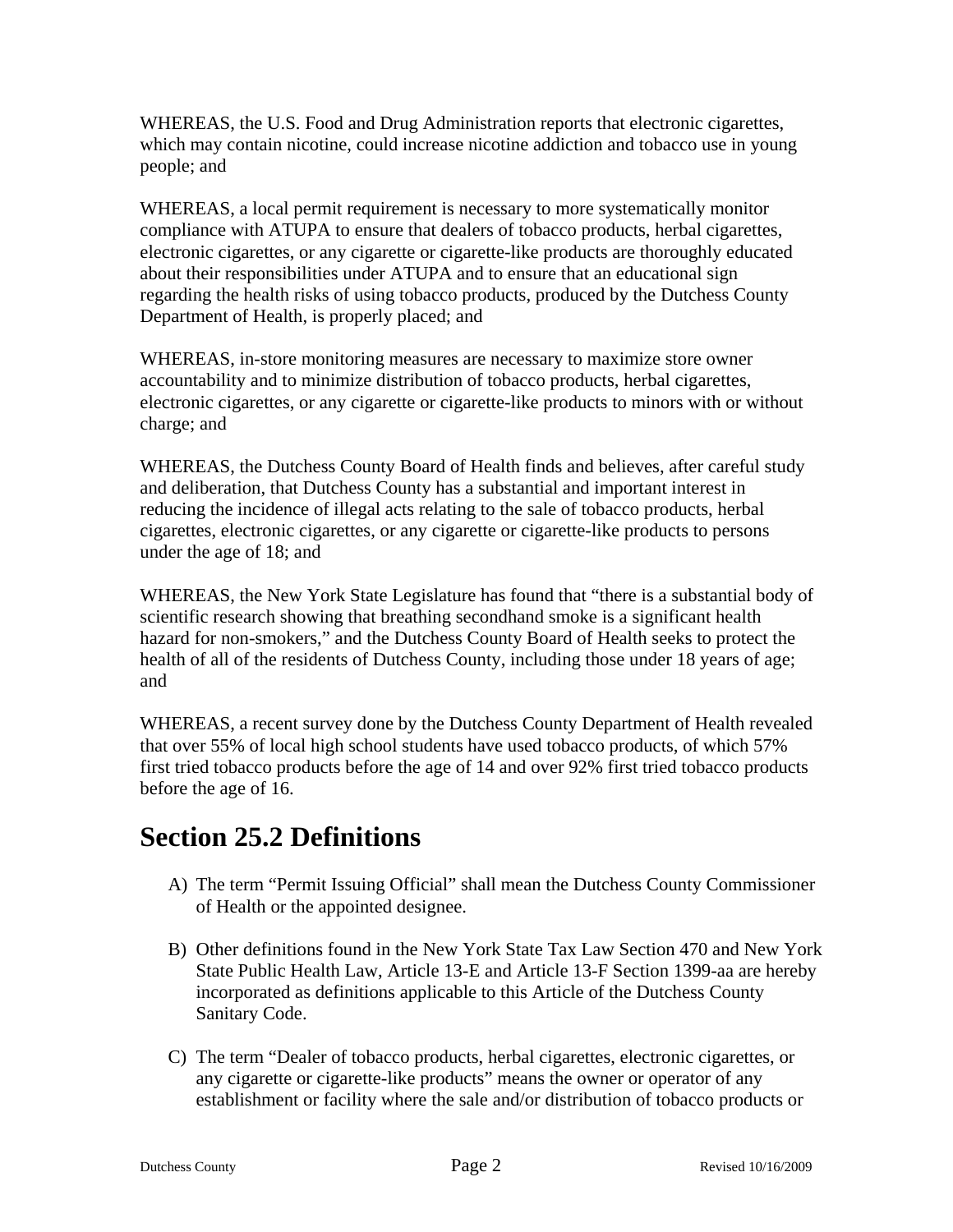WHEREAS, the U.S. Food and Drug Administration reports that electronic cigarettes, which may contain nicotine, could increase nicotine addiction and tobacco use in young people; and

WHEREAS, a local permit requirement is necessary to more systematically monitor compliance with ATUPA to ensure that dealers of tobacco products, herbal cigarettes, electronic cigarettes, or any cigarette or cigarette-like products are thoroughly educated about their responsibilities under ATUPA and to ensure that an educational sign regarding the health risks of using tobacco products, produced by the Dutchess County Department of Health, is properly placed; and

WHEREAS, in-store monitoring measures are necessary to maximize store owner accountability and to minimize distribution of tobacco products, herbal cigarettes, electronic cigarettes, or any cigarette or cigarette-like products to minors with or without charge; and

WHEREAS, the Dutchess County Board of Health finds and believes, after careful study and deliberation, that Dutchess County has a substantial and important interest in reducing the incidence of illegal acts relating to the sale of tobacco products, herbal cigarettes, electronic cigarettes, or any cigarette or cigarette-like products to persons under the age of 18; and

WHEREAS, the New York State Legislature has found that "there is a substantial body of scientific research showing that breathing secondhand smoke is a significant health hazard for non-smokers," and the Dutchess County Board of Health seeks to protect the health of all of the residents of Dutchess County, including those under 18 years of age; and

WHEREAS, a recent survey done by the Dutchess County Department of Health revealed that over 55% of local high school students have used tobacco products, of which 57% first tried tobacco products before the age of 14 and over 92% first tried tobacco products before the age of 16.

#### **Section 25.2 Definitions**

- A) The term "Permit Issuing Official" shall mean the Dutchess County Commissioner of Health or the appointed designee.
- B) Other definitions found in the New York State Tax Law Section 470 and New York State Public Health Law, Article 13-E and Article 13-F Section 1399-aa are hereby incorporated as definitions applicable to this Article of the Dutchess County Sanitary Code.
- C) The term "Dealer of tobacco products, herbal cigarettes, electronic cigarettes, or any cigarette or cigarette-like products" means the owner or operator of any establishment or facility where the sale and/or distribution of tobacco products or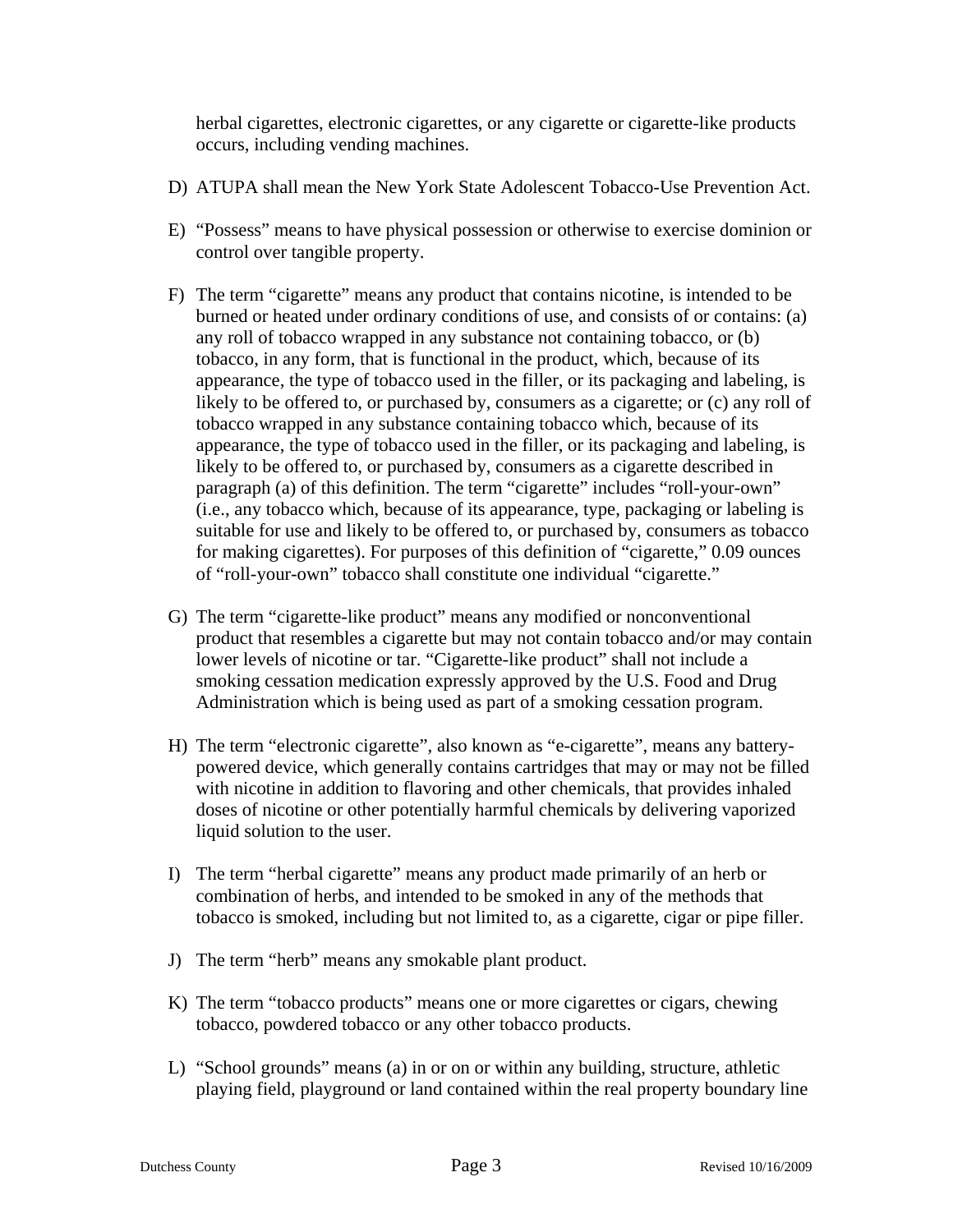herbal cigarettes, electronic cigarettes, or any cigarette or cigarette-like products occurs, including vending machines.

- D) ATUPA shall mean the New York State Adolescent Tobacco-Use Prevention Act.
- E) "Possess" means to have physical possession or otherwise to exercise dominion or control over tangible property.
- F) The term "cigarette" means any product that contains nicotine, is intended to be burned or heated under ordinary conditions of use, and consists of or contains: (a) any roll of tobacco wrapped in any substance not containing tobacco, or (b) tobacco, in any form, that is functional in the product, which, because of its appearance, the type of tobacco used in the filler, or its packaging and labeling, is likely to be offered to, or purchased by, consumers as a cigarette; or (c) any roll of tobacco wrapped in any substance containing tobacco which, because of its appearance, the type of tobacco used in the filler, or its packaging and labeling, is likely to be offered to, or purchased by, consumers as a cigarette described in paragraph (a) of this definition. The term "cigarette" includes "roll-your-own" (i.e., any tobacco which, because of its appearance, type, packaging or labeling is suitable for use and likely to be offered to, or purchased by, consumers as tobacco for making cigarettes). For purposes of this definition of "cigarette," 0.09 ounces of "roll-your-own" tobacco shall constitute one individual "cigarette."
- G) The term "cigarette-like product" means any modified or nonconventional product that resembles a cigarette but may not contain tobacco and/or may contain lower levels of nicotine or tar. "Cigarette-like product" shall not include a smoking cessation medication expressly approved by the U.S. Food and Drug Administration which is being used as part of a smoking cessation program.
- H) The term "electronic cigarette", also known as "e-cigarette", means any batterypowered device, which generally contains cartridges that may or may not be filled with nicotine in addition to flavoring and other chemicals, that provides inhaled doses of nicotine or other potentially harmful chemicals by delivering vaporized liquid solution to the user.
- I) The term "herbal cigarette" means any product made primarily of an herb or combination of herbs, and intended to be smoked in any of the methods that tobacco is smoked, including but not limited to, as a cigarette, cigar or pipe filler.
- J) The term "herb" means any smokable plant product.
- K) The term "tobacco products" means one or more cigarettes or cigars, chewing tobacco, powdered tobacco or any other tobacco products.
- L) "School grounds" means (a) in or on or within any building, structure, athletic playing field, playground or land contained within the real property boundary line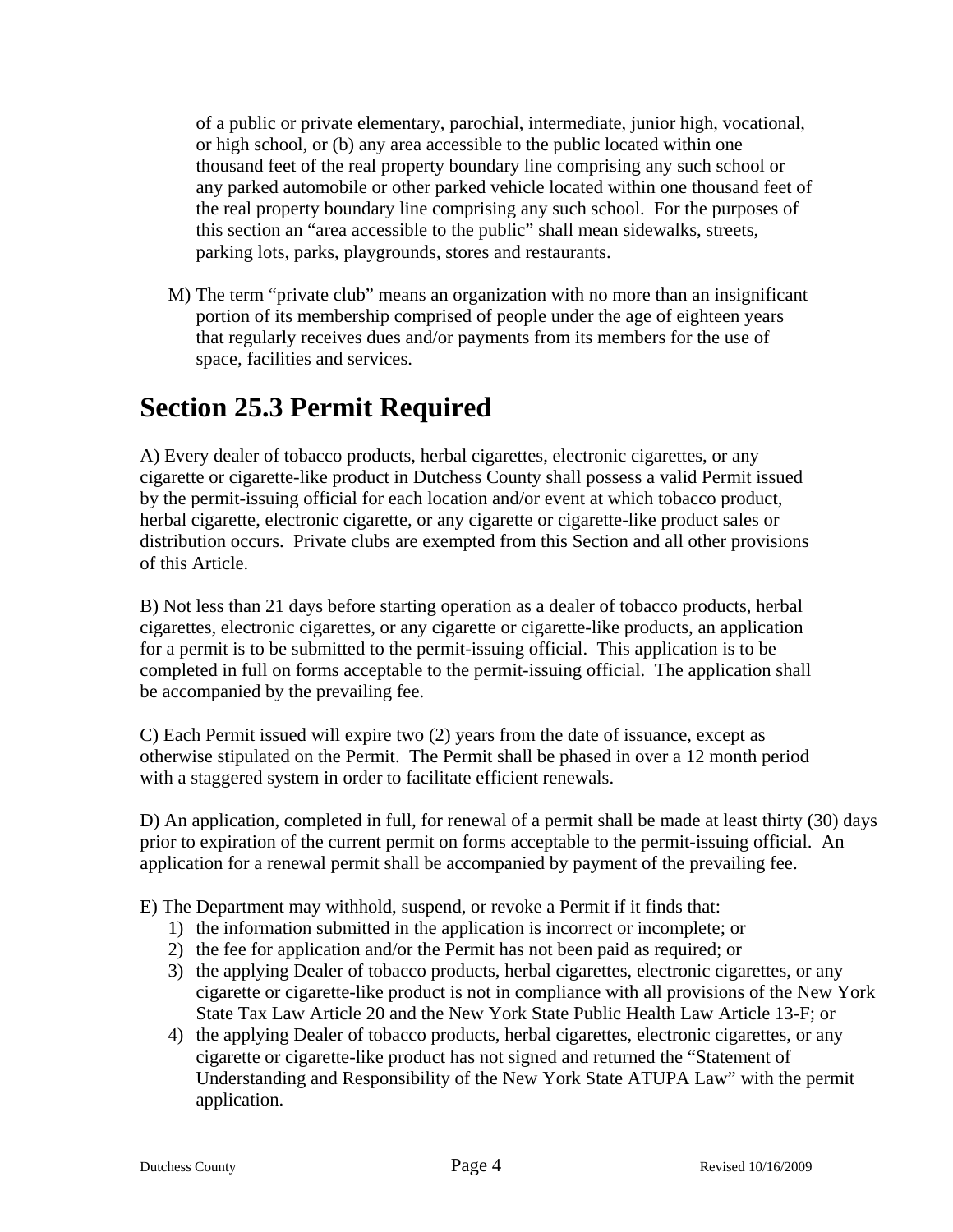of a public or private elementary, parochial, intermediate, junior high, vocational, or high school, or (b) any area accessible to the public located within one thousand feet of the real property boundary line comprising any such school or any parked automobile or other parked vehicle located within one thousand feet of the real property boundary line comprising any such school. For the purposes of this section an "area accessible to the public" shall mean sidewalks, streets, parking lots, parks, playgrounds, stores and restaurants.

M) The term "private club" means an organization with no more than an insignificant portion of its membership comprised of people under the age of eighteen years that regularly receives dues and/or payments from its members for the use of space, facilities and services.

### **Section 25.3 Permit Required**

A) Every dealer of tobacco products, herbal cigarettes, electronic cigarettes, or any cigarette or cigarette-like product in Dutchess County shall possess a valid Permit issued by the permit-issuing official for each location and/or event at which tobacco product, herbal cigarette, electronic cigarette, or any cigarette or cigarette-like product sales or distribution occurs. Private clubs are exempted from this Section and all other provisions of this Article.

B) Not less than 21 days before starting operation as a dealer of tobacco products, herbal cigarettes, electronic cigarettes, or any cigarette or cigarette-like products, an application for a permit is to be submitted to the permit-issuing official. This application is to be completed in full on forms acceptable to the permit-issuing official. The application shall be accompanied by the prevailing fee.

C) Each Permit issued will expire two (2) years from the date of issuance, except as otherwise stipulated on the Permit. The Permit shall be phased in over a 12 month period with a staggered system in order to facilitate efficient renewals.

D) An application, completed in full, for renewal of a permit shall be made at least thirty (30) days prior to expiration of the current permit on forms acceptable to the permit-issuing official. An application for a renewal permit shall be accompanied by payment of the prevailing fee.

E) The Department may withhold, suspend, or revoke a Permit if it finds that:

- 1) the information submitted in the application is incorrect or incomplete; or
- 2) the fee for application and/or the Permit has not been paid as required; or
- 3) the applying Dealer of tobacco products, herbal cigarettes, electronic cigarettes, or any cigarette or cigarette-like product is not in compliance with all provisions of the New York State Tax Law Article 20 and the New York State Public Health Law Article 13-F; or
- 4) the applying Dealer of tobacco products, herbal cigarettes, electronic cigarettes, or any cigarette or cigarette-like product has not signed and returned the "Statement of Understanding and Responsibility of the New York State ATUPA Law" with the permit application.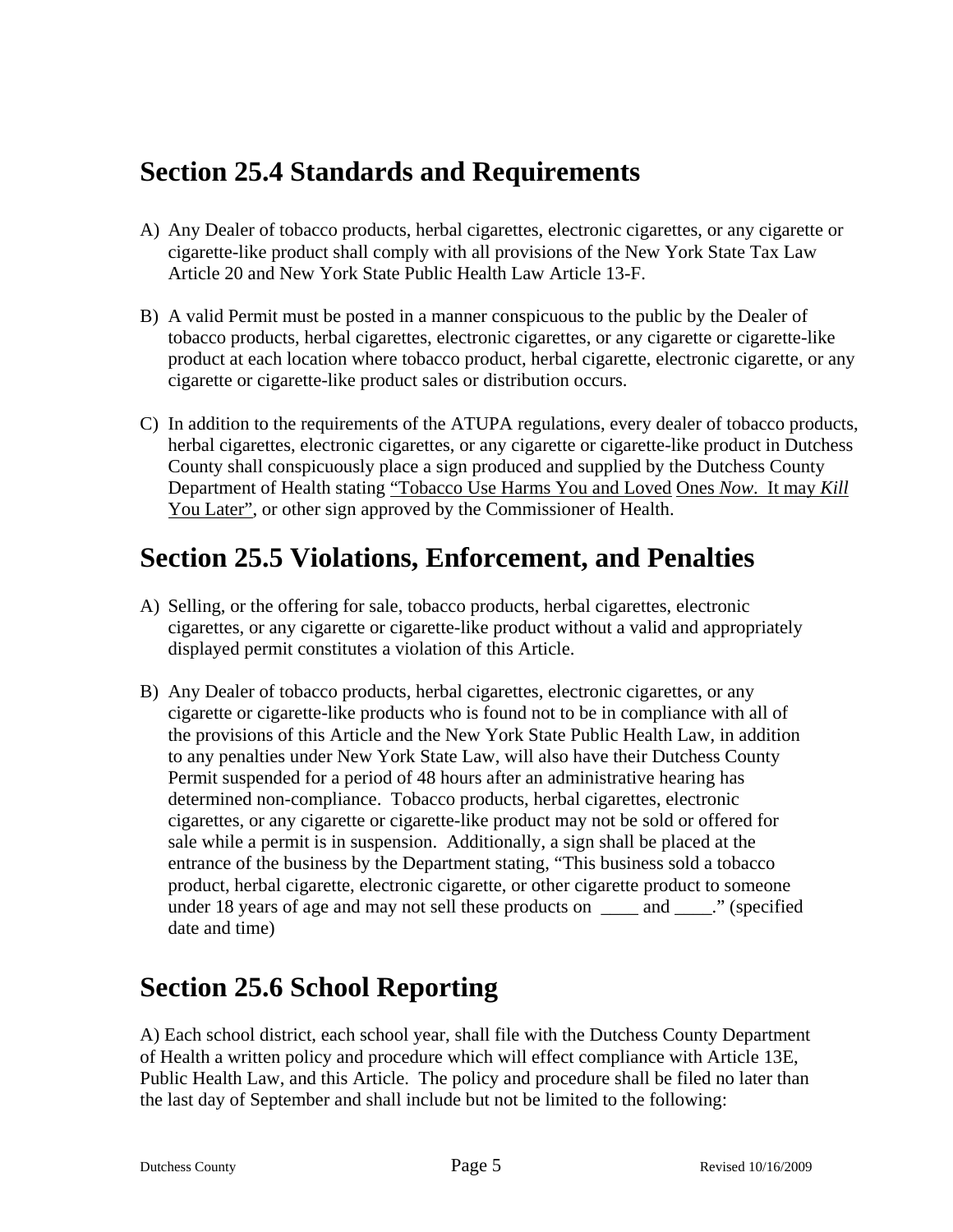### **Section 25.4 Standards and Requirements**

- A) Any Dealer of tobacco products, herbal cigarettes, electronic cigarettes, or any cigarette or cigarette-like product shall comply with all provisions of the New York State Tax Law Article 20 and New York State Public Health Law Article 13-F.
- B) A valid Permit must be posted in a manner conspicuous to the public by the Dealer of tobacco products, herbal cigarettes, electronic cigarettes, or any cigarette or cigarette-like product at each location where tobacco product, herbal cigarette, electronic cigarette, or any cigarette or cigarette-like product sales or distribution occurs.
- C) In addition to the requirements of the ATUPA regulations, every dealer of tobacco products, herbal cigarettes, electronic cigarettes, or any cigarette or cigarette-like product in Dutchess County shall conspicuously place a sign produced and supplied by the Dutchess County Department of Health stating "Tobacco Use Harms You and Loved Ones *Now*. It may *Kill* You Later", or other sign approved by the Commissioner of Health.

### **Section 25.5 Violations, Enforcement, and Penalties**

- A) Selling, or the offering for sale, tobacco products, herbal cigarettes, electronic cigarettes, or any cigarette or cigarette-like product without a valid and appropriately displayed permit constitutes a violation of this Article.
- B) Any Dealer of tobacco products, herbal cigarettes, electronic cigarettes, or any cigarette or cigarette-like products who is found not to be in compliance with all of the provisions of this Article and the New York State Public Health Law, in addition to any penalties under New York State Law, will also have their Dutchess County Permit suspended for a period of 48 hours after an administrative hearing has determined non-compliance. Tobacco products, herbal cigarettes, electronic cigarettes, or any cigarette or cigarette-like product may not be sold or offered for sale while a permit is in suspension. Additionally, a sign shall be placed at the entrance of the business by the Department stating, "This business sold a tobacco product, herbal cigarette, electronic cigarette, or other cigarette product to someone under 18 years of age and may not sell these products on \_\_\_\_ and \_\_\_\_." (specified date and time)

## **Section 25.6 School Reporting**

A) Each school district, each school year, shall file with the Dutchess County Department of Health a written policy and procedure which will effect compliance with Article 13E, Public Health Law, and this Article. The policy and procedure shall be filed no later than the last day of September and shall include but not be limited to the following: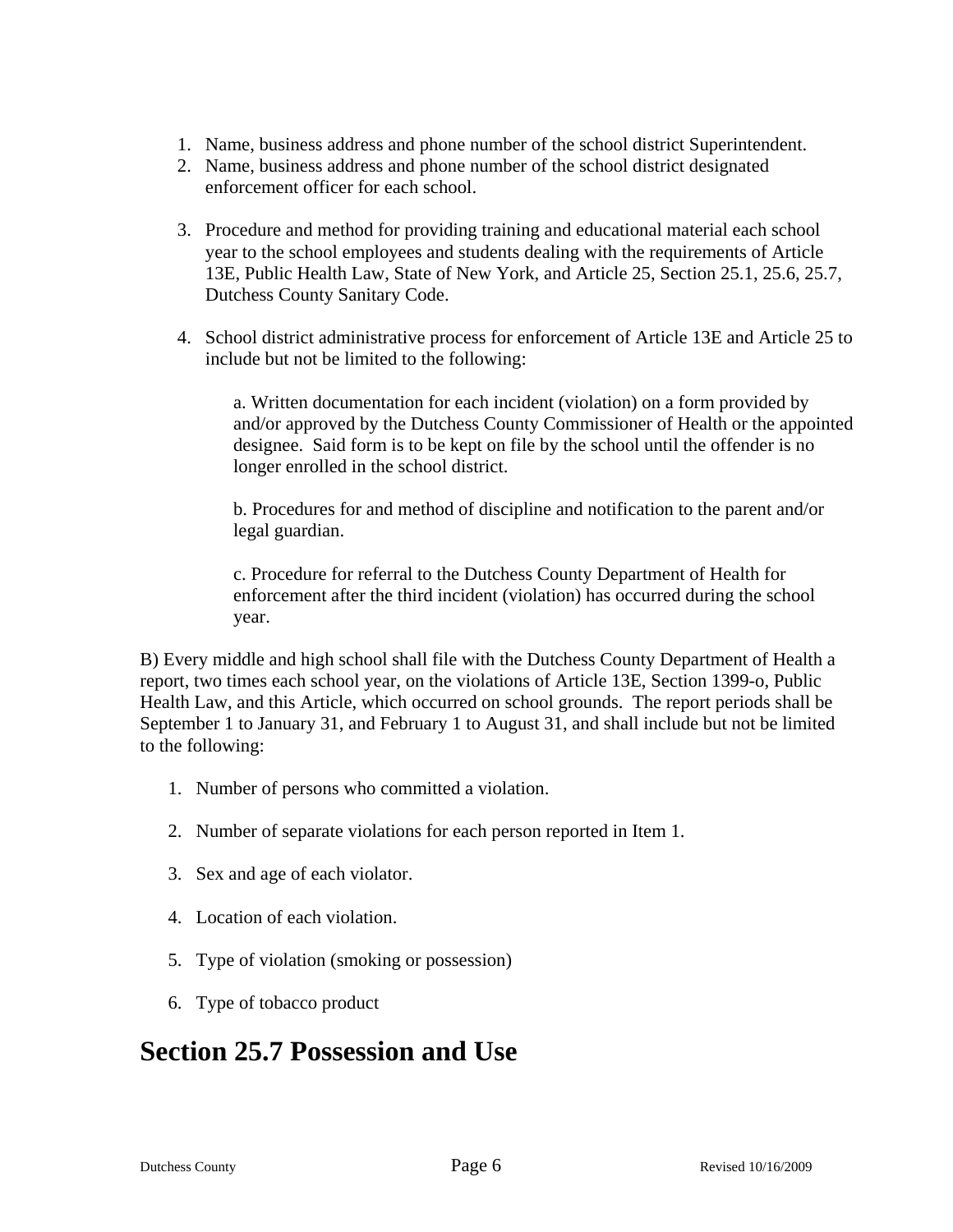- 1. Name, business address and phone number of the school district Superintendent.
- 2. Name, business address and phone number of the school district designated enforcement officer for each school.
- 3. Procedure and method for providing training and educational material each school year to the school employees and students dealing with the requirements of Article 13E, Public Health Law, State of New York, and Article 25, Section 25.1, 25.6, 25.7, Dutchess County Sanitary Code.
- 4. School district administrative process for enforcement of Article 13E and Article 25 to include but not be limited to the following:

a. Written documentation for each incident (violation) on a form provided by and/or approved by the Dutchess County Commissioner of Health or the appointed designee. Said form is to be kept on file by the school until the offender is no longer enrolled in the school district.

b. Procedures for and method of discipline and notification to the parent and/or legal guardian.

c. Procedure for referral to the Dutchess County Department of Health for enforcement after the third incident (violation) has occurred during the school year.

B) Every middle and high school shall file with the Dutchess County Department of Health a report, two times each school year, on the violations of Article 13E, Section 1399-o, Public Health Law, and this Article, which occurred on school grounds. The report periods shall be September 1 to January 31, and February 1 to August 31, and shall include but not be limited to the following:

- 1. Number of persons who committed a violation.
- 2. Number of separate violations for each person reported in Item 1.
- 3. Sex and age of each violator.
- 4. Location of each violation.
- 5. Type of violation (smoking or possession)
- 6. Type of tobacco product

#### **Section 25.7 Possession and Use**